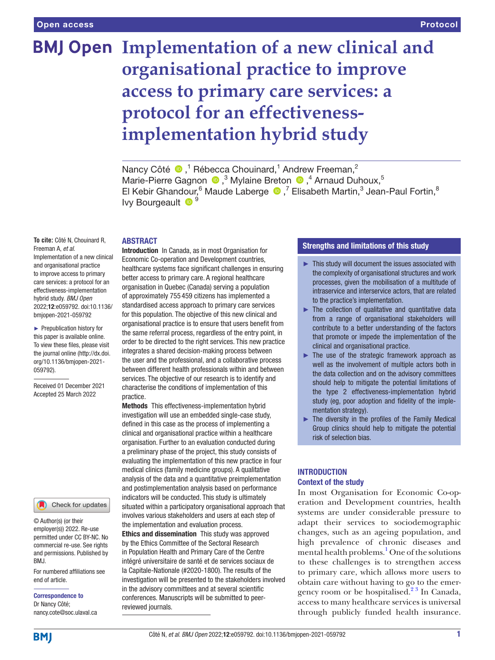# **BMJ Open Implementation of a new clinical and organisational practice to improve access to primary care services: a protocol for an effectivenessimplementation hybrid study**

Nancy Côté  $\bigcirc$ ,<sup>1</sup> Rébecca Chouinard,<sup>1</sup> Andrew Freeman,<sup>2</sup> Marie-PierreGagnon <sup>®</sup>,<sup>3</sup> Mylaine Breton <sup>®</sup>,<sup>4</sup> Arnaud Duhoux,<sup>5</sup> ElKebir Ghandour, <sup>6</sup> Maude Laberge  $\bullet$ , <sup>7</sup> Elisabeth Martin, <sup>3</sup> Jean-Paul Fortin, <sup>8</sup> Ivy Bourgeault  $\bullet$ <sup>9</sup>

# **ABSTRACT**

**To cite:** Côté N, Chouinard R, Freeman A, *et al*. Implementation of a new clinical and organisational practice to improve access to primary care services: a protocol for an effectiveness-implementation hybrid study. *BMJ Open* 2022;12:e059792. doi:10.1136/ bmjopen-2021-059792

► Prepublication history for this paper is available online. To view these files, please visit the journal online [\(http://dx.doi.](http://dx.doi.org/10.1136/bmjopen-2021-059792) [org/10.1136/bmjopen-2021-](http://dx.doi.org/10.1136/bmjopen-2021-059792) [059792\)](http://dx.doi.org/10.1136/bmjopen-2021-059792).

Received 01 December 2021 Accepted 25 March 2022



© Author(s) (or their employer(s)) 2022. Re-use permitted under CC BY-NC. No commercial re-use. See rights and permissions. Published by BMJ.

For numbered affiliations see end of article.

Correspondence to Dr Nancy Côté; nancy.cote@soc.ulaval.ca

Introduction In Canada, as in most Organisation for Economic Co-operation and Development countries, healthcare systems face significant challenges in ensuring better access to primary care. A regional healthcare organisation in Quebec (Canada) serving a population of approximately 755 459 citizens has implemented a standardised access approach to primary care services for this population. The objective of this new clinical and organisational practice is to ensure that users benefit from the same referral process, regardless of the entry point, in order to be directed to the right services. This new practice integrates a shared decision-making process between the user and the professional, and a collaborative process between different health professionals within and between services. The objective of our research is to identify and characterise the conditions of implementation of this practice.

Methods This effectiveness-implementation hybrid investigation will use an embedded single-case study, defined in this case as the process of implementing a clinical and organisational practice within a healthcare organisation. Further to an evaluation conducted during a preliminary phase of the project, this study consists of evaluating the implementation of this new practice in four medical clinics (family medicine groups). A qualitative analysis of the data and a quantitative preimplementation and postimplementation analysis based on performance indicators will be conducted. This study is ultimately situated within a participatory organisational approach that involves various stakeholders and users at each step of the implementation and evaluation process.

Ethics and dissemination This study was approved by the Ethics Committee of the Sectoral Research in Population Health and Primary Care of the Centre intégré universitaire de santé et de services sociaux de la Capitale-Nationale (#2020-1800). The results of the investigation will be presented to the stakeholders involved in the advisory committees and at several scientific conferences. Manuscripts will be submitted to peerreviewed journals.

# Strengths and limitations of this study

- ► This study will document the issues associated with the complexity of organisational structures and work processes, given the mobilisation of a multitude of intraservice and interservice actors, that are related to the practice's implementation.
- ► The collection of qualitative and quantitative data from a range of organisational stakeholders will contribute to a better understanding of the factors that promote or impede the implementation of the clinical and organisational practice.
- ► The use of the strategic framework approach as well as the involvement of multiple actors both in the data collection and on the advisory committees should help to mitigate the potential limitations of the type 2 effectiveness-implementation hybrid study (eg, poor adoption and fidelity of the implementation strategy).
- $\blacktriangleright$  The diversity in the profiles of the Family Medical Group clinics should help to mitigate the potential risk of selection bias.

# **INTRODUCTION** Context of the study

In most Organisation for Economic Co-operation and Development countries, health systems are under considerable pressure to adapt their services to sociodemographic changes, such as an ageing population, and high prevalence of chronic diseases and mental health problems.<sup>[1](#page-6-0)</sup> One of the solutions to these challenges is to strengthen access to primary care, which allows more users to obtain care without having to go to the emergency room or be hospitalised.<sup>23</sup> In Canada, access to many healthcare services is universal through publicly funded health insurance.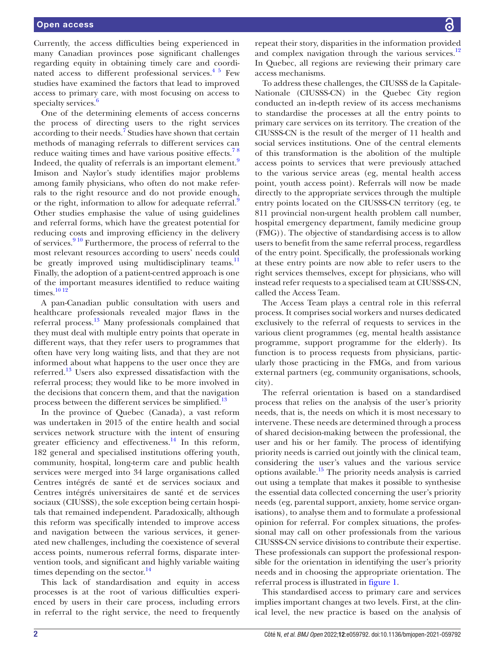Currently, the access difficulties being experienced in many Canadian provinces pose significant challenges regarding equity in obtaining timely care and coordinated access to different professional services.<sup>45</sup> Few studies have examined the factors that lead to improved access to primary care, with most focusing on access to specialty services. $\frac{6}{5}$  $\frac{6}{5}$  $\frac{6}{5}$ 

One of the determining elements of access concerns the process of directing users to the right services according to their needs.<sup>[7](#page-6-4)</sup> Studies have shown that certain methods of managing referrals to different services can reduce waiting times and have various positive effects.<sup>78</sup> Indeed, the quality of referrals is an important element.<sup>[9](#page-6-5)</sup> Imison and Naylor's study identifies major problems among family physicians, who often do not make referrals to the right resource and do not provide enough, or the right, information to allow for adequate referral.<sup>[9](#page-6-5)</sup> Other studies emphasise the value of using guidelines and referral forms, which have the greatest potential for reducing costs and improving efficiency in the delivery of services.<sup>910</sup> Furthermore, the process of referral to the most relevant resources according to users' needs could be greatly improved using multidisciplinary teams.<sup>11</sup> Finally, the adoption of a patient-centred approach is one of the important measures identified to reduce waiting times.<sup>[10 12](#page-6-7)</sup>

A pan-Canadian public consultation with users and healthcare professionals revealed major flaws in the referral process.[13](#page-7-0) Many professionals complained that they must deal with multiple entry points that operate in different ways, that they refer users to programmes that often have very long waiting lists, and that they are not informed about what happens to the user once they are referred[.13](#page-7-0) Users also expressed dissatisfaction with the referral process; they would like to be more involved in the decisions that concern them, and that the navigation process between the different services be simplified.<sup>13</sup>

In the province of Quebec (Canada), a vast reform was undertaken in 2015 of the entire health and social services network structure with the intent of ensuring greater efficiency and effectiveness. $^{14}$  In this reform, 182 general and specialised institutions offering youth, community, hospital, long-term care and public health services were merged into 34 large organisations called Centres intégrés de santé et de services sociaux and Centres intégrés universitaires de santé et de services sociaux (CIUSSS), the sole exception being certain hospitals that remained independent. Paradoxically, although this reform was specifically intended to improve access and navigation between the various services, it generated new challenges, including the coexistence of several access points, numerous referral forms, disparate intervention tools, and significant and highly variable waiting times depending on the sector. $^{14}$ 

This lack of standardisation and equity in access processes is at the root of various difficulties experienced by users in their care process, including errors in referral to the right service, the need to frequently repeat their story, disparities in the information provided and complex navigation through the various services. $12$ In Quebec, all regions are reviewing their primary care access mechanisms.

To address these challenges, the CIUSSS de la Capitale-Nationale (CIUSSS-CN) in the Quebec City region conducted an in-depth review of its access mechanisms to standardise the processes at all the entry points to primary care services on its territory. The creation of the CIUSSS-CN is the result of the merger of 11 health and social services institutions. One of the central elements of this transformation is the abolition of the multiple access points to services that were previously attached to the various service areas (eg, mental health access point, youth access point). Referrals will now be made directly to the appropriate services through the multiple entry points located on the CIUSSS-CN territory (eg, te 811 provincial non-urgent health problem call number, hospital emergency department, family medicine group (FMG)). The objective of standardising access is to allow users to benefit from the same referral process, regardless of the entry point. Specifically, the professionals working at these entry points are now able to refer users to the right services themselves, except for physicians, who will instead refer requests to a specialised team at CIUSSS-CN, called the Access Team.

The Access Team plays a central role in this referral process. It comprises social workers and nurses dedicated exclusively to the referral of requests to services in the various client programmes (eg, mental health assistance programme, support programme for the elderly). Its function is to process requests from physicians, particularly those practicing in the FMGs, and from various external partners (eg, community organisations, schools, city).

The referral orientation is based on a standardised process that relies on the analysis of the user's priority needs, that is, the needs on which it is most necessary to intervene. These needs are determined through a process of shared decision-making between the professional, the user and his or her family. The process of identifying priority needs is carried out jointly with the clinical team, considering the user's values and the various service options available.<sup>15</sup> The priority needs analysis is carried out using a template that makes it possible to synthesise the essential data collected concerning the user's priority needs (eg, parental support, anxiety, home service organisations), to analyse them and to formulate a professional opinion for referral. For complex situations, the professional may call on other professionals from the various CIUSSS-CN service divisions to contribute their expertise. These professionals can support the professional responsible for the orientation in identifying the user's priority needs and in choosing the appropriate orientation. The referral process is illustrated in [figure](#page-2-0) 1.

This standardised access to primary care and services implies important changes at two levels. First, at the clinical level, the new practice is based on the analysis of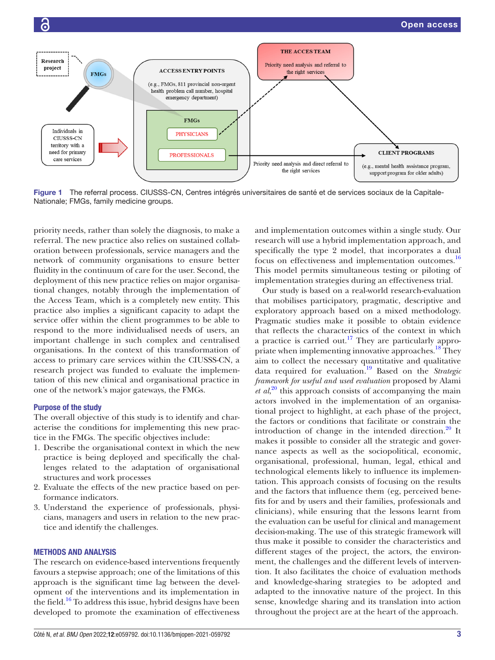

<span id="page-2-0"></span>Figure 1 The referral process. CIUSSS-CN, Centres intégrés universitaires de santé et de services sociaux de la Capitale-Nationale; FMGs, family medicine groups.

priority needs, rather than solely the diagnosis, to make a referral. The new practice also relies on sustained collaboration between professionals, service managers and the network of community organisations to ensure better fluidity in the continuum of care for the user. Second, the deployment of this new practice relies on major organisational changes, notably through the implementation of the Access Team, which is a completely new entity. This practice also implies a significant capacity to adapt the service offer within the client programmes to be able to respond to the more individualised needs of users, an important challenge in such complex and centralised organisations. In the context of this transformation of access to primary care services within the CIUSSS-CN, a research project was funded to evaluate the implementation of this new clinical and organisational practice in one of the network's major gateways, the FMGs.

### Purpose of the study

The overall objective of this study is to identify and characterise the conditions for implementing this new practice in the FMGs. The specific objectives include:

- 1. Describe the organisational context in which the new practice is being deployed and specifically the challenges related to the adaptation of organisational structures and work processes
- 2. Evaluate the effects of the new practice based on performance indicators.
- 3. Understand the experience of professionals, physicians, managers and users in relation to the new practice and identify the challenges.

#### METHODS AND ANALYSIS

The research on evidence-based interventions frequently favours a stepwise approach; one of the limitations of this approach is the significant time lag between the development of the interventions and its implementation in the field[.16](#page-7-4) To address this issue, hybrid designs have been developed to promote the examination of effectiveness

and implementation outcomes within a single study. Our research will use a hybrid implementation approach, and specifically the type 2 model, that incorporates a dual focus on effectiveness and implementation outcomes.<sup>[16](#page-7-4)</sup> This model permits simultaneous testing or piloting of implementation strategies during an effectiveness trial.

Our study is based on a real-world research-evaluation that mobilises participatory, pragmatic, descriptive and exploratory approach based on a mixed methodology. Pragmatic studies make it possible to obtain evidence that reflects the characteristics of the context in which a practice is carried out.<sup>17</sup> They are particularly appropriate when implementing innovative approaches.<sup>18</sup> They aim to collect the necessary quantitative and qualitative data required for evaluation.[19](#page-7-7) Based on the *Strategic framework for useful and used evaluation* proposed by Alami *et al*,<sup>[20](#page-7-8)</sup> this approach consists of accompanying the main actors involved in the implementation of an organisational project to highlight, at each phase of the project, the factors or conditions that facilitate or constrain the introduction of change in the intended direction. $^{20}$  It makes it possible to consider all the strategic and governance aspects as well as the sociopolitical, economic, organisational, professional, human, legal, ethical and technological elements likely to influence its implementation. This approach consists of focusing on the results and the factors that influence them (eg, perceived benefits for and by users and their families, professionals and clinicians), while ensuring that the lessons learnt from the evaluation can be useful for clinical and management decision-making. The use of this strategic framework will thus make it possible to consider the characteristics and different stages of the project, the actors, the environment, the challenges and the different levels of intervention. It also facilitates the choice of evaluation methods and knowledge-sharing strategies to be adopted and adapted to the innovative nature of the project. In this sense, knowledge sharing and its translation into action throughout the project are at the heart of the approach.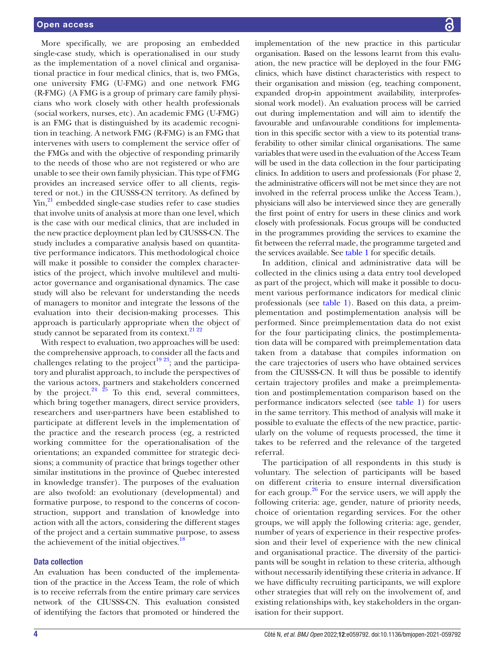More specifically, we are proposing an embedded single-case study, which is operationalised in our study as the implementation of a novel clinical and organisational practice in four medical clinics, that is, two FMGs, one university FMG (U-FMG) and one network FMG (R-FMG) (A FMG is a group of primary care family physicians who work closely with other health professionals (social workers, nurses, etc). An academic FMG (U-FMG) is an FMG that is distinguished by its academic recognition in teaching. A network FMG (R-FMG) is an FMG that intervenes with users to complement the service offer of the FMGs and with the objective of responding primarily to the needs of those who are not registered or who are unable to see their own family physician. This type of FMG provides an increased service offer to all clients, registered or not.) in the CIUSSS-CN territory. As defined by  $Y_{\text{in}}^{21}$  embedded single-case studies refer to case studies that involve units of analysis at more than one level, which is the case with our medical clinics, that are included in the new practice deployment plan led by CIUSSS-CN. The study includes a comparative analysis based on quantitative performance indicators. This methodological choice will make it possible to consider the complex characteristics of the project, which involve multilevel and multiactor governance and organisational dynamics. The case study will also be relevant for understanding the needs of managers to monitor and integrate the lessons of the evaluation into their decision-making processes. This approach is particularly appropriate when the object of study cannot be separated from its context.<sup>[21 22](#page-7-9)</sup>

With respect to evaluation, two approaches will be used: the comprehensive approach, to consider all the facts and challenges relating to the project<sup>19 23</sup>; and the participatory and pluralist approach, to include the perspectives of the various actors, partners and stakeholders concerned by the project. $24 \frac{25}{5}$  $24 \frac{25}{5}$  To this end, several committees, which bring together managers, direct service providers, researchers and user-partners have been established to participate at different levels in the implementation of the practice and the research process (eg, a restricted working committee for the operationalisation of the orientations; an expanded committee for strategic decisions; a community of practice that brings together other similar institutions in the province of Quebec interested in knowledge transfer). The purposes of the evaluation are also twofold: an evolutionary (developmental) and formative purpose, to respond to the concerns of coconstruction, support and translation of knowledge into action with all the actors, considering the different stages of the project and a certain summative purpose, to assess the achievement of the initial objectives.<sup>[18](#page-7-6)</sup>

## Data collection

An evaluation has been conducted of the implementation of the practice in the Access Team, the role of which is to receive referrals from the entire primary care services network of the CIUSSS-CN. This evaluation consisted of identifying the factors that promoted or hindered the

implementation of the new practice in this particular organisation. Based on the lessons learnt from this evaluation, the new practice will be deployed in the four FMG clinics, which have distinct characteristics with respect to their organisation and mission (eg, teaching component, expanded drop-in appointment availability, interprofessional work model). An evaluation process will be carried out during implementation and will aim to identify the favourable and unfavourable conditions for implementation in this specific sector with a view to its potential transferability to other similar clinical organisations. The same variables that were used in the evaluation of the Access Team will be used in the data collection in the four participating clinics. In addition to users and professionals (For phase 2, the administrative officers will not be met since they are not involved in the referral process unlike the Access Team.), physicians will also be interviewed since they are generally the first point of entry for users in these clinics and work closely with professionals. Focus groups will be conducted in the programmes providing the services to examine the fit between the referral made, the programme targeted and the services available. See [table](#page-4-0) 1 for specific details.

In addition, clinical and administrative data will be collected in the clinics using a data entry tool developed as part of the project, which will make it possible to document various performance indicators for medical clinic professionals (see [table](#page-4-0) 1). Based on this data, a preimplementation and postimplementation analysis will be performed. Since preimplementation data do not exist for the four participating clinics, the postimplementation data will be compared with preimplementation data taken from a database that compiles information on the care trajectories of users who have obtained services from the CIUSSS-CN. It will thus be possible to identify certain trajectory profiles and make a preimplementation and postimplementation comparison based on the performance indicators selected (see [table](#page-4-0) 1) for users in the same territory. This method of analysis will make it possible to evaluate the effects of the new practice, particularly on the volume of requests processed, the time it takes to be referred and the relevance of the targeted referral.

The participation of all respondents in this study is voluntary. The selection of participants will be based on different criteria to ensure internal diversification for each group. $26$  For the service users, we will apply the following criteria: age, gender, nature of priority needs, choice of orientation regarding services. For the other groups, we will apply the following criteria: age, gender, number of years of experience in their respective profession and their level of experience with the new clinical and organisational practice. The diversity of the participants will be sought in relation to these criteria, although without necessarily identifying these criteria in advance. If we have difficulty recruiting participants, we will explore other strategies that will rely on the involvement of, and existing relationships with, key stakeholders in the organisation for their support.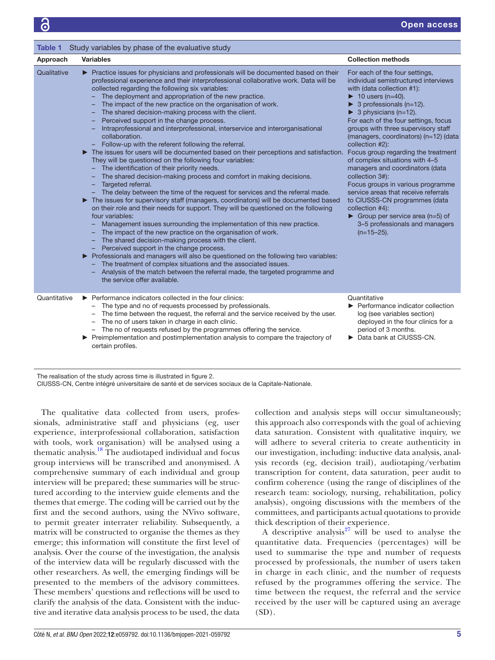Open access

<span id="page-4-0"></span>

| Study variables by phase of the evaluative study<br><b>Table 1</b> |                                                                                                                                                                                                                                                                                                                                                                                                                                                                                                                                                                                                                                                                                                                                                                                                                                                                                                                                                                                                                                                                                                                                                                                                                                                                                                                                                                                                                                                                                                                                                                                                                                                                                                                                        |                                                                                                                                                                                                                                                                                                                                                                                                                                                                                                                                                                                                                                                                                                                                                       |
|--------------------------------------------------------------------|----------------------------------------------------------------------------------------------------------------------------------------------------------------------------------------------------------------------------------------------------------------------------------------------------------------------------------------------------------------------------------------------------------------------------------------------------------------------------------------------------------------------------------------------------------------------------------------------------------------------------------------------------------------------------------------------------------------------------------------------------------------------------------------------------------------------------------------------------------------------------------------------------------------------------------------------------------------------------------------------------------------------------------------------------------------------------------------------------------------------------------------------------------------------------------------------------------------------------------------------------------------------------------------------------------------------------------------------------------------------------------------------------------------------------------------------------------------------------------------------------------------------------------------------------------------------------------------------------------------------------------------------------------------------------------------------------------------------------------------|-------------------------------------------------------------------------------------------------------------------------------------------------------------------------------------------------------------------------------------------------------------------------------------------------------------------------------------------------------------------------------------------------------------------------------------------------------------------------------------------------------------------------------------------------------------------------------------------------------------------------------------------------------------------------------------------------------------------------------------------------------|
| Approach                                                           | <b>Variables</b>                                                                                                                                                                                                                                                                                                                                                                                                                                                                                                                                                                                                                                                                                                                                                                                                                                                                                                                                                                                                                                                                                                                                                                                                                                                                                                                                                                                                                                                                                                                                                                                                                                                                                                                       | <b>Collection methods</b>                                                                                                                                                                                                                                                                                                                                                                                                                                                                                                                                                                                                                                                                                                                             |
| Qualitative                                                        | ▶ Practice issues for physicians and professionals will be documented based on their<br>professional experience and their interprofessional collaborative work. Data will be<br>collected regarding the following six variables:<br>The deployment and appropriation of the new practice.<br>The impact of the new practice on the organisation of work.<br>- The shared decision-making process with the client.<br>Perceived support in the change process.<br>Intraprofessional and interprofessional, interservice and interorganisational<br>collaboration.<br>Follow-up with the referent following the referral.<br>The issues for users will be documented based on their perceptions and satisfaction.<br>They will be questioned on the following four variables:<br>- The identification of their priority needs.<br>The shared decision-making process and comfort in making decisions.<br>Targeted referral.<br>-<br>- The delay between the time of the request for services and the referral made.<br>The issues for supervisory staff (managers, coordinators) will be documented based<br>on their role and their needs for support. They will be questioned on the following<br>four variables:<br>Management issues surrounding the implementation of this new practice.<br>The impact of the new practice on the organisation of work.<br>The shared decision-making process with the client.<br>Perceived support in the change process.<br>► Professionals and managers will also be questioned on the following two variables:<br>The treatment of complex situations and the associated issues.<br>Analysis of the match between the referral made, the targeted programme and<br>the service offer available. | For each of the four settings,<br>individual semistructured interviews<br>with (data collection #1):<br>$\blacktriangleright$ 10 users (n=40).<br>$\triangleright$ 3 professionals (n=12).<br>$\triangleright$ 3 physicians (n=12).<br>For each of the four settings, focus<br>groups with three supervisory staff<br>(managers, coordinators) (n=12) (data<br>collection #2):<br>Focus group regarding the treatment<br>of complex situations with 4-5<br>managers and coordinators (data<br>collection 3#):<br>Focus groups in various programme<br>service areas that receive referrals<br>to CIUSSS-CN programmes (data<br>collection #4):<br>$\triangleright$ Group per service area (n=5) of<br>3-5 professionals and managers<br>$(n=15-25)$ . |
| Quantitative                                                       | ▶ Performance indicators collected in the four clinics:<br>The type and no of requests processed by professionals.<br>The time between the request, the referral and the service received by the user.<br>- The no of users taken in charge in each clinic.<br>- The no of requests refused by the programmes offering the service.<br>relation and postimplementation analysis to compare the trajectory of<br>certain profiles.                                                                                                                                                                                                                                                                                                                                                                                                                                                                                                                                                                                                                                                                                                                                                                                                                                                                                                                                                                                                                                                                                                                                                                                                                                                                                                      | Quantitative<br>▶ Performance indicator collection<br>log (see variables section)<br>deployed in the four clinics for a<br>period of 3 months.<br>Data bank at CIUSSS-CN.                                                                                                                                                                                                                                                                                                                                                                                                                                                                                                                                                                             |

The realisation of the study across time is illustrated in [figure 2.](#page-5-0) CIUSSS-CN, Centre intégré universitaire de santé et de services sociaux de la Capitale-Nationale.

The qualitative data collected from users, professionals, administrative staff and physicians (eg, user experience, interprofessional collaboration, satisfaction with tools, work organisation) will be analysed using a thematic analysis.[18](#page-7-6) The audiotaped individual and focus group interviews will be transcribed and anonymised. A comprehensive summary of each individual and group interview will be prepared; these summaries will be structured according to the interview guide elements and the themes that emerge. The coding will be carried out by the first and the second authors, using the NVivo software, to permit greater interrater reliability. Subsequently, a matrix will be constructed to organise the themes as they emerge; this information will constitute the first level of analysis. Over the course of the investigation, the analysis of the interview data will be regularly discussed with the other researchers. As well, the emerging findings will be presented to the members of the advisory committees. These members' questions and reflections will be used to clarify the analysis of the data. Consistent with the inductive and iterative data analysis process to be used, the data

collection and analysis steps will occur simultaneously; this approach also corresponds with the goal of achieving data saturation. Consistent with qualitative inquiry, we will adhere to several criteria to create authenticity in our investigation, including: inductive data analysis, analysis records (eg, decision trail), audiotaping/verbatim transcription for content, data saturation, peer audit to confirm coherence (using the range of disciplines of the research team: sociology, nursing, rehabilitation, policy analysis), ongoing discussions with the members of the committees, and participants actual quotations to provide thick description of their experience.

A descriptive analysis<sup>27</sup> will be used to analyse the quantitative data. Frequencies (percentages) will be used to summarise the type and number of requests processed by professionals, the number of users taken in charge in each clinic, and the number of requests refused by the programmes offering the service. The time between the request, the referral and the service received by the user will be captured using an average  $(SD)$ .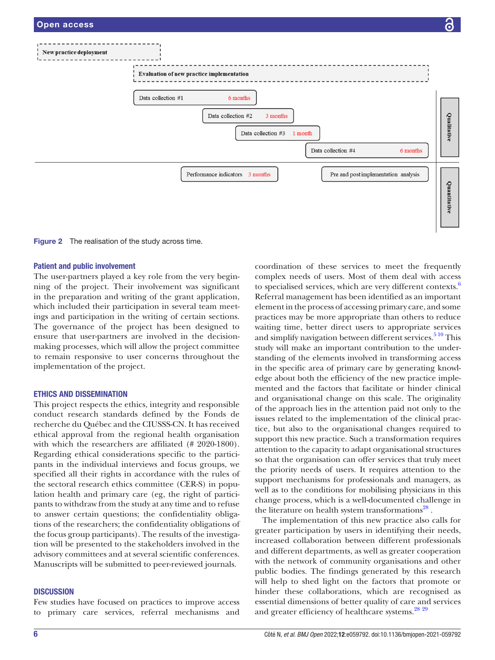

<span id="page-5-0"></span>Figure 2 The realisation of the study across time.

#### Patient and public involvement

The user-partners played a key role from the very beginning of the project. Their involvement was significant in the preparation and writing of the grant application, which included their participation in several team meetings and participation in the writing of certain sections. The governance of the project has been designed to ensure that user-partners are involved in the decisionmaking processes, which will allow the project committee to remain responsive to user concerns throughout the implementation of the project.

#### ETHICS AND DISSEMINATION

This project respects the ethics, integrity and responsible conduct research standards defined by the Fonds de recherche du Québec and the CIUSSS-CN. It has received ethical approval from the regional health organisation with which the researchers are affiliated (# 2020-1800). Regarding ethical considerations specific to the participants in the individual interviews and focus groups, we specified all their rights in accordance with the rules of the sectoral research ethics committee (CER-S) in population health and primary care (eg, the right of participants to withdraw from the study at any time and to refuse to answer certain questions; the confidentiality obligations of the researchers; the confidentiality obligations of the focus group participants). The results of the investigation will be presented to the stakeholders involved in the advisory committees and at several scientific conferences. Manuscripts will be submitted to peer-reviewed journals.

#### **DISCUSSION**

Few studies have focused on practices to improve access to primary care services, referral mechanisms and coordination of these services to meet the frequently complex needs of users. Most of them deal with access to specialised services, which are very different contexts.<sup>6</sup> Referral management has been identified as an important element in the process of accessing primary care, and some practices may be more appropriate than others to reduce waiting time, better direct users to appropriate services and simplify navigation between different services. $5^{10}$  This study will make an important contribution to the understanding of the elements involved in transforming access in the specific area of primary care by generating knowledge about both the efficiency of the new practice implemented and the factors that facilitate or hinder clinical and organisational change on this scale. The originality of the approach lies in the attention paid not only to the issues related to the implementation of the clinical practice, but also to the organisational changes required to support this new practice. Such a transformation requires attention to the capacity to adapt organisational structures so that the organisation can offer services that truly meet the priority needs of users. It requires attention to the support mechanisms for professionals and managers, as well as to the conditions for mobilising physicians in this change process, which is a well-documented challenge in the literature on health system transformations<sup>28</sup>.

The implementation of this new practice also calls for greater participation by users in identifying their needs, increased collaboration between different professionals and different departments, as well as greater cooperation with the network of community organisations and other public bodies. The findings generated by this research will help to shed light on the factors that promote or hinder these collaborations, which are recognised as essential dimensions of better quality of care and services and greater efficiency of healthcare systems.<sup>[28](#page-7-14)</sup> <sup>[29](#page-7-15)</sup>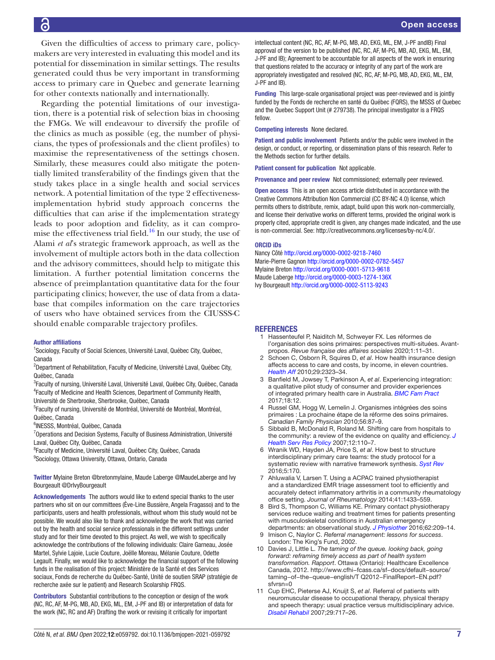Given the difficulties of access to primary care, policymakers are very interested in evaluating this model and its potential for dissemination in similar settings. The results generated could thus be very important in transforming access to primary care in Quebec and generate learning for other contexts nationally and internationally.

Regarding the potential limitations of our investigation, there is a potential risk of selection bias in choosing the FMGs. We will endeavour to diversify the profile of the clinics as much as possible (eg, the number of physicians, the types of professionals and the client profiles) to maximise the representativeness of the settings chosen. Similarly, these measures could also mitigate the potentially limited transferability of the findings given that the study takes place in a single health and social services network. A potential limitation of the type 2 effectivenessimplementation hybrid study approach concerns the difficulties that can arise if the implementation strategy leads to poor adoption and fidelity, as it can compromise the effectiveness trial field. $16$  In our study, the use of Alami *et al*'s strategic framework approach, as well as the involvement of multiple actors both in the data collection and the advisory committees, should help to mitigate this limitation. A further potential limitation concerns the absence of preimplantation quantitative data for the four participating clinics; however, the use of data from a database that compiles information on the care trajectories of users who have obtained services from the CIUSSS-C should enable comparable trajectory profiles.

#### Author affiliations

<sup>1</sup>Sociology, Faculty of Social Sciences, Université Laval, Québec City, Québec, Canada

<sup>2</sup>Department of Rehabilitation, Faculty of Medicine, Université Laval, Québec City, Québec, Canada

<sup>3</sup>Faculty of nursing, Université Laval, Université Laval, Québec City, Québec, Canada 4 Faculty of Medicine and Health Sciences, Department of Community Health,

Université de Sherbrooke, Sherbrooke, Québec, Canada

<sup>5</sup>Faculty of nursing, Université de Montréal, Université de Montréal, Montréal,

Québec, Canada

6 INESSS, Montréal, Québec, Canada

<sup>7</sup>Operations and Decision Systems, Faculty of Business Administration, Université Laval, Québec City, Québec, Canada

<sup>8</sup> Faculty of Medicine, Université Laval, Québec City, Québec, Canada <sup>9</sup>Sociology, Ottawa University, Ottawa, Ontario, Canada

Twitter Mylaine Breton [@bretonmylaine,](https://twitter.com/bretonmylaine) Maude Laberge [@MaudeLaberge](https://twitter.com/MaudeLaberge) and Ivy Bourgeault [@DrIvyBourgeault](https://twitter.com/DrIvyBourgeault)

Acknowledgements The authors would like to extend special thanks to the user partners who sit on our committees (Ève-Line Bussière, Angela Fragasso) and to the participants, users and health professionals, without whom this study would not be possible. We would also like to thank and acknowledge the work that was carried out by the health and social service professionals in the different settings under study and for their time devoted to this project. As well, we wish to specifically acknowledge the contributions of the following individuals: Claire Garneau, Josée Martel, Sylvie Lajoie, Lucie Couture, Joëlle Moreau, Mélanie Couture, Odette Legault. Finally, we would like to acknowledge the financial support of the following funds in the realisation of this project: Ministère de la Santé et des Services sociaux, Fonds de recherche du Québec-Santé, Unité de soutien SRAP (stratégie de recherche axée sur le patient) and Research Scolarship FRQS.

Contributors Substantial contributions to the conception or design of the work (NC, RC, AF, M-PG, MB, AD, EKG, ML, EM, J-PF and IB) or interpretation of data for the work (NC, RC and AF) Drafting the work or revising it critically for important

intellectual content (NC, RC, AF, M-PG, MB, AD, EKG, ML, EM, J-PF andIB) Final approval of the version to be published (NC, RC, AF, M-PG, MB, AD, EKG, ML, EM, J-PF and IB); Agreement to be accountable for all aspects of the work in ensuring that questions related to the accuracy or integrity of any part of the work are appropriately investigated and resolved (NC, RC, AF, M-PG, MB, AD, EKG, ML, EM, J-PF and IB).

Funding This large-scale organisational project was peer-reviewed and is jointly funded by the Fonds de recherche en santé du Québec (FQRS), the MSSS of Quebec and the Quebec Support Unit (# 279738). The principal investigator is a FRQS fellow.

Competing interests None declared.

Patient and public involvement Patients and/or the public were involved in the design, or conduct, or reporting, or dissemination plans of this research. Refer to the Methods section for further details.

Patient consent for publication Not applicable.

Provenance and peer review Not commissioned; externally peer reviewed.

Open access This is an open access article distributed in accordance with the Creative Commons Attribution Non Commercial (CC BY-NC 4.0) license, which permits others to distribute, remix, adapt, build upon this work non-commercially, and license their derivative works on different terms, provided the original work is properly cited, appropriate credit is given, any changes made indicated, and the use is non-commercial. See: [http://creativecommons.org/licenses/by-nc/4.0/.](http://creativecommons.org/licenses/by-nc/4.0/)

#### ORCID iDs

Nancy Côté<http://orcid.org/0000-0002-9218-7460> Marie-Pierre Gagnon<http://orcid.org/0000-0002-0782-5457> Mylaine Breton<http://orcid.org/0000-0001-5713-9618> Maude Laberge <http://orcid.org/0000-0003-1274-136X> Ivy Bourgeault <http://orcid.org/0000-0002-5113-9243>

#### REFERENCES

- <span id="page-6-0"></span>1 Hassenteufel P, Naiditch M, Schweyer FX. Les réformes de l'organisation des soins primaires: perspectives multi-situées. Avantpropos. *Revue française des affaires sociales* 2020;1:11–31.
- <span id="page-6-1"></span>2 Schoen C, Osborn R, Squires D, *et al*. How health insurance design affects access to care and costs, by income, in eleven countries. *[Health Aff](http://dx.doi.org/10.1377/hlthaff.2010.0862)* 2010;29:2323–34.
- 3 Banfield M, Jowsey T, Parkinson A, *et al*. Experiencing integration: a qualitative pilot study of consumer and provider experiences of integrated primary health care in Australia. *[BMC Fam Pract](http://dx.doi.org/10.1186/s12875-016-0575-z)* 2017;18:12.
- <span id="page-6-2"></span>4 Russel GM, Hogg W, Lemelin J. Organismes intégrées des soins primaires : La prochaine étape de la réforme des soins primaires. *Canadian Family Physician* 2010;56:87–9.
- <span id="page-6-8"></span>5 Sibbald B, McDonald R, Roland M. Shifting care from hospitals to the community: a review of the evidence on quality and efficiency. *[J](http://dx.doi.org/10.1258/135581907780279611)  [Health Serv Res Policy](http://dx.doi.org/10.1258/135581907780279611)* 2007;12:110–7.
- <span id="page-6-3"></span>6 Wranik WD, Hayden JA, Price S, *et al*. How best to structure interdisciplinary primary care teams: the study protocol for a systematic review with narrative framework synthesis. *[Syst Rev](http://dx.doi.org/10.1186/s13643-016-0339-9)* 2016;5:170.
- <span id="page-6-4"></span>7 Ahluwalia V, Larsen T. Using a ACPAC trained physiotherapist and a standardized EMR triage assessment tool to efficiently and accurately detect inflammatory arthritis in a community rheumatology office setting. *Journal of Rheumatology* 2014;41:1433–559.
- 8 Bird S, Thompson C, Williams KE. Primary contact physiotherapy services reduce waiting and treatment times for patients presenting with musculoskeletal conditions in Australian emergency departments: an observational study. *[J Physiother](http://dx.doi.org/10.1016/j.jphys.2016.08.005)* 2016;62:209–14.
- <span id="page-6-5"></span>9 Imison C, Naylor C. *Referral management: lessons for success*. London: The King's Fund, 2002.
- <span id="page-6-7"></span>10 Davies J, Little L. *The taming of the queue. looking back, going forward: reframing timely access as part of health system transformation. Rapport*. Ottawa (Ontario): Healthcare Excellence Canada, 2012. [http://www.cfhi−fcass.ca/sf−docs/default−source/](http://www.cfhi−fcass.ca/sf−docs/default−source/taming−of−the−queue−english/T%20Q2012−FinalReport−EN.pdf?sfvrsn=0) [taming−of−the−queue−english/T Q2012−FinalReport−EN.pdf?](http://www.cfhi−fcass.ca/sf−docs/default−source/taming−of−the−queue−english/T%20Q2012−FinalReport−EN.pdf?sfvrsn=0) [sfvrsn=0](http://www.cfhi−fcass.ca/sf−docs/default−source/taming−of−the−queue−english/T%20Q2012−FinalReport−EN.pdf?sfvrsn=0)
- <span id="page-6-6"></span>11 Cup EHC, Pieterse AJ, Knuijt S, *et al*. Referral of patients with neuromuscular disease to occupational therapy, physical therapy and speech therapy: usual practice versus multidisciplinary advice. *[Disabil Rehabil](http://dx.doi.org/10.1080/09638280600926702)* 2007;29:717–26.